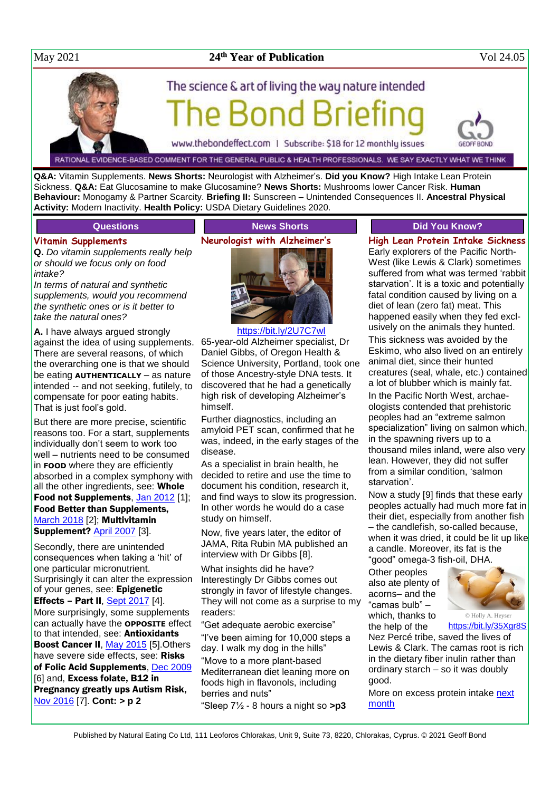### May 2021 **24**

### **th Year of Publication** Vol 24.05

# The science & art of living the way nature intended **Bond Brie**

www.thebondeffect.com | Subscribe: \$18 for 12 monthly issues

RATIONAL EVIDENCE-BASED COMMENT FOR THE GENERAL PUBLIC & HEALTH PROFESSIONALS. WE SAY EXACTLY WHAT WE THINK

**Q&A:** Vitamin Supplements. **News Shorts:** Neurologist with Alzheimer's. **Did you Know?** High Intake Lean Protein Sickness. **Q&A:** Eat Glucosamine to make Glucosamine? **News Shorts:** Mushrooms lower Cancer Risk. **Human Behaviour:** Monogamy & Partner Scarcity. **Briefing II:** Sunscreen – Unintended Consequences II. **Ancestral Physical Activity:** Modern Inactivity. **Health Policy:** USDA Dietary Guidelines 2020.

### **Questions**

### **Vitamin Supplements**

**Q.** *Do vitamin supplements really help or should we focus only on food intake?*

*In terms of natural and synthetic supplements, would you recommend the synthetic ones or is it better to take the natural ones?*

**A.** I have always argued strongly against the idea of using supplements. There are several reasons, of which the overarching one is that we should be eating **AUTHENTICALLY** – as nature intended -- and not seeking, futilely, to compensate for poor eating habits. That is just fool's gold.

But there are more precise, scientific reasons too. For a start, supplements individually don't seem to work too well – nutrients need to be consumed in **FOOD** where they are efficiently absorbed in a complex symphony with all the other ingredients, see: Whole Food not Supplements, [Jan 2012](http://www.naturaleater.com/newsletter-archive/NEWS-2012/NEWS-2012-01.pdf) [1]; Food Better than Supplements, [March 2018](http://www.naturaleater.com/newsletter-archive/NEWS-2018/NEWS-2018-03.pdf) [2]; Multivitamin Supplement? [April 2007](http://www.naturaleater.com/newsletter-archive/NEWS-2007/NEWS-2007-04.pdf) [3].

Secondly, there are unintended consequences when taking a 'hit' of one particular micronutrient. Surprisingly it can alter the expression of your genes, see: Epigenetic Effects - Part II,  $S$ ept 2017 [4]. More surprisingly, some supplements can actually have the **OPPOSITE** effect to that intended, see: Antioxidants Boost Cancer II, [May 2015](http://www.naturaleater.com/newsletter-archive/NEWS-2015/NEWS-2015-05.pdf) [5]. Others have severe side effects, see: Risks of Folic Acid Supplements, [Dec 2009](http://www.naturaleater.com/newsletter-archive/NEWS-2009/NEWS-2009-12.pdf) [6] and, Excess folate, B12 in Pregnancy greatly ups Autism Risk, [Nov 2016](http://www.naturaleater.com/newsletter-archive/NEWS-2016/NEWS-2016-11.pdf) [7]. **Cont: > p 2**

### **News Shorts Neurologist with Alzheimer's**



<https://bit.ly/2U7C7wl> 65-year-old Alzheimer specialist, Dr Daniel Gibbs, of Oregon Health & Science University, Portland, took one of those Ancestry-style DNA tests. It discovered that he had a genetically high risk of developing Alzheimer's himself.

Further diagnostics, including an amyloid PET scan, confirmed that he was, indeed, in the early stages of the disease.

As a specialist in brain health, he decided to retire and use the time to document his condition, research it, and find ways to slow its progression. In other words he would do a case study on himself.

Now, five years later, the editor of JAMA, Rita Rubin MA published an interview with Dr Gibbs [8].

What insights did he have? Interestingly Dr Gibbs comes out strongly in favor of lifestyle changes. They will not come as a surprise to my readers:

"Get adequate aerobic exercise" "I've been aiming for 10,000 steps a day. I walk my dog in the hills" "Move to a more plant-based Mediterranean diet leaning more on foods high in flavonols, including berries and nuts"

"Sleep 7½ - 8 hours a night so **>p3**

### **Did You Know?**

**High Lean Protein Intake Sickness** Early explorers of the Pacific North-West (like Lewis & Clark) sometimes suffered from what was termed 'rabbit starvation'. It is a toxic and potentially fatal condition caused by living on a diet of lean (zero fat) meat. This happened easily when they fed exclusively on the animals they hunted. This sickness was avoided by the Eskimo, who also lived on an entirely animal diet, since their hunted creatures (seal, whale, etc.) contained a lot of blubber which is mainly fat. In the Pacific North West, archaeologists contended that prehistoric peoples had an "extreme salmon specialization" living on salmon which, in the spawning rivers up to a thousand miles inland, were also very lean. However, they did not suffer from a similar condition, 'salmon starvation'.

Now a study [9] finds that these early peoples actually had much more fat in their diet, especially from another fish – the candlefish, so-called because, when it was dried, it could be lit up like a candle. Moreover, its fat is the "good" omega-3 fish-oil, DHA.

Other peoples also ate plenty of acorns– and the "camas bulb" – which, thanks to the help of the



© Holly A. Heyser https://bit.lv/35Xar8S

Nez Percé tribe, saved the lives of Lewis & Clark. The camas root is rich in the dietary fiber inulin rather than ordinary starch – so it was doubly good.

More on excess protein intake next [month](http://www.naturaleater.com/newsletter-archive/NEWS-2021/NEWS-2021-06.pdf)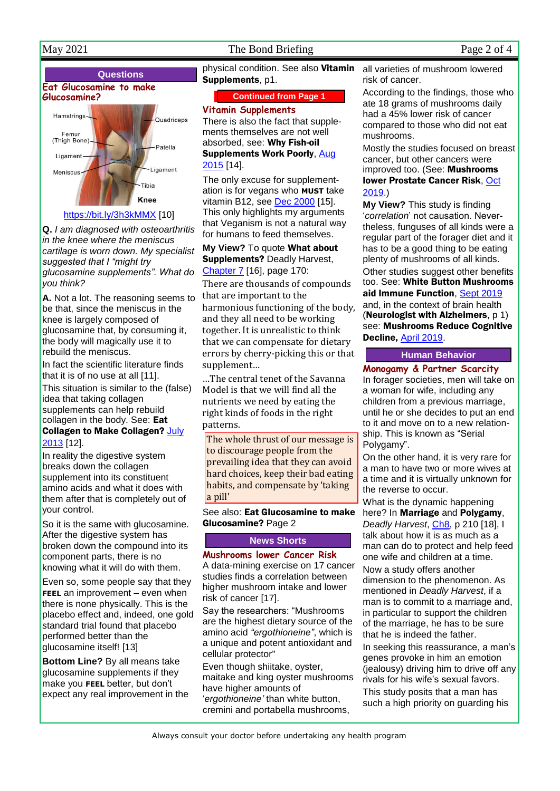### May 2021 The Bond Briefing Page 2 of 4

### **Questions Eat Glucosamine to make Glucosamine?** Hamstrings Quadriceps



**Q.** *I am diagnosed with osteoarthritis in the knee where the meniscus cartilage is worn down. My specialist suggested that I "might try glucosamine supplements". What do you think?*

**A.** Not a lot. The reasoning seems to be that, since the meniscus in the knee is largely composed of glucosamine that, by consuming it, the body will magically use it to rebuild the meniscus.

In fact the scientific literature finds that it is of no use at all [11].

This situation is similar to the (false) idea that taking collagen supplements can help rebuild collagen in the body. See: Eat Collagen to Make Collagen? July [2013](http://www.naturaleater.com/newsletter-archive/news-2013/news-2013-07.pdf) [12].

In reality the digestive system breaks down the collagen supplement into its constituent amino acids and what it does with them after that is completely out of your control.

So it is the same with glucosamine. After the digestive system has broken down the compound into its component parts, there is no knowing what it will do with them.

Even so, some people say that they **FEEL** an improvement – even when there is none physically. This is the placebo effect and, indeed, one gold standard trial found that placebo performed better than the glucosamine itself! [13]

**Bottom Line?** By all means take glucosamine supplements if they make you **FEEL** better, but don't expect any real improvement in the

physical condition. See also Vitamin Supplements, p1.

### **Continued from Page 1**

### **Vitamin Supplements**

There is also the fact that supplements themselves are not well absorbed, see: Why Fish-oil Supplements Work Poorly, [Aug](http://www.naturaleater.com/newsletter-archive/NEWS-2015/NEWS-2015-08.pdf)  [2015](http://www.naturaleater.com/newsletter-archive/NEWS-2015/NEWS-2015-08.pdf) [14].

The only excuse for supplementation is for vegans who **MUST** take vitamin B12, see [Dec 2000](http://www.naturaleater.com/newsletter-archive/NEWS-2000/NEWS-2000-12.pdf) [15]. This only highlights my arguments that Veganism is not a natural way for humans to feed themselves.

**My View?** To quote What about **Supplements? Deadly Harvest,** [Chapter 7](http://www.naturaleater.com/Deadly-Harvest/Web-Edition/70-Deadly-Harvest-chapter7.htm) [16], page 170:

There are thousands of compounds that are important to the harmonious functioning of the body, and they all need to be working together. It is unrealistic to think that we can compensate for dietary errors by cherry-picking this or that supplement…

…The central tenet of the Savanna Model is that we will find all the nutrients we need by eating the right kinds of foods in the right patterns.

The whole thrust of our message is to discourage people from the prevailing idea that they can avoid hard choices, keep their bad eating habits, and compensate by 'taking a pill'

### See also: Eat Glucosamine to make Glucosamine? Page 2

### **News Shorts**

### **Mushrooms lower Cancer Risk**

A data-mining exercise on 17 cancer studies finds a correlation between higher mushroom intake and lower risk of cancer [17].

Say the researchers: "Mushrooms are the highest dietary source of the amino acid *"ergothioneine"*, which is a unique and potent antioxidant and cellular protector"

Even though shiitake, oyster, maitake and king oyster mushrooms have higher amounts of '*ergothioneine'* than white button, cremini and portabella mushrooms,

all varieties of mushroom lowered risk of cancer.

According to the findings, those who ate 18 grams of mushrooms daily had a 45% lower risk of cancer compared to those who did not eat mushrooms.

Mostly the studies focused on breast cancer, but other cancers were improved too. (See: Mushrooms lower Prostate Cancer Risk[, Oct](https://bit.ly/31bcESR)  [2019.](https://bit.ly/31bcESR))

**My View?** This study is finding '*correlation*' not causation. Nevertheless, funguses of all kinds were a regular part of the forager diet and it has to be a good thing to be eating plenty of mushrooms of all kinds.

Other studies suggest other benefits too. See: White Button Mushrooms aid Immune Function[, Sept 2019](https://bit.ly/2M0e1zv) and, in the context of brain health

(Neurologist with Alzheimers, p 1) see: Mushrooms Reduce Cognitive Decline, [April 2019.](http://bit.ly/2WxR2jG)

### **Human Behavior**

**Monogamy & Partner Scarcity** In forager societies, men will take on a woman for wife, including any

children from a previous marriage, until he or she decides to put an end to it and move on to a new relationship. This is known as "Serial Polygamy".

On the other hand, it is very rare for a man to have two or more wives at a time and it is virtually unknown for the reverse to occur.

What is the dynamic happening here? In **Marriage** and **Polygamy**, *Deadly Harvest*, [Ch8,](http://bit.ly/ch-8) p 210 [18], I talk about how it is as much as a man can do to protect and help feed one wife and children at a time.

Now a study offers another dimension to the phenomenon. As mentioned in *Deadly Harvest*, if a man is to commit to a marriage and, in particular to support the children of the marriage, he has to be sure that he is indeed the father.

In seeking this reassurance, a man's genes provoke in him an emotion (jealousy) driving him to drive off any rivals for his wife's sexual favors. This study posits that a man has such a high priority on guarding his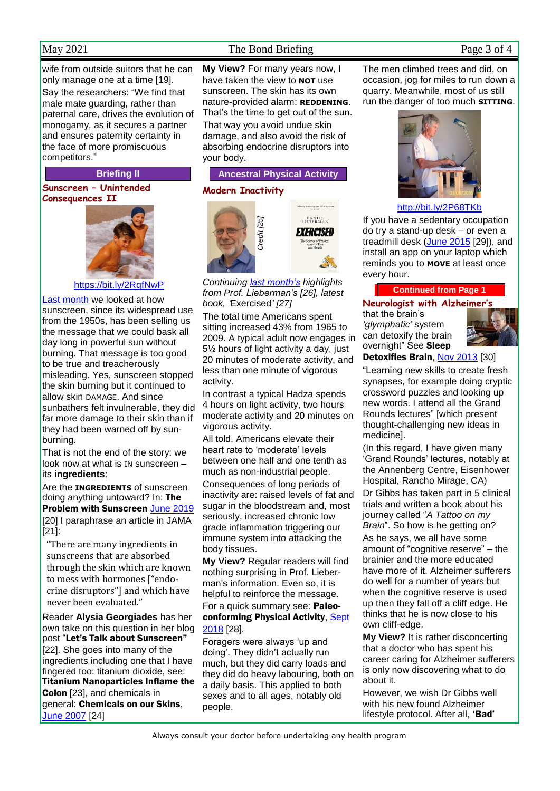wife from outside suitors that he can only manage one at a time [19]. Say the researchers: "We find that male mate guarding, rather than paternal care, drives the evolution of monogamy, as it secures a partner and ensures paternity certainty in the face of more promiscuous competitors."

### **Briefing II**

**Sunscreen – Unintended Consequences II**



<https://bit.ly/2RqfNwP>

[Last month](http://www.naturaleater.com/newsletter-archive/NEWS-2021/NEWS-2021-04.pdf) we looked at how sunscreen, since its widespread use from the 1950s, has been selling us the message that we could bask all day long in powerful sun without burning. That message is too good to be true and treacherously misleading. Yes, sunscreen stopped the skin burning but it continued to allow skin DAMAGE. And since sunbathers felt invulnerable, they did far more damage to their skin than if they had been warned off by sunburning.

That is not the end of the story: we look now at what is IN sunscreen – its **ingredients**:

Are the **INGREDIENTS** of sunscreen doing anything untoward? In: The Problem with Sunscreen [June 2019](http://www.naturaleater.com/NEWSLETTER-ARCHIVE/NEWS-2019/news-2019-06.pdf) [20] I paraphrase an article in JAMA [21]:

"There are many ingredients in sunscreens that are absorbed through the skin which are known to mess with hormones ["endocrine disruptors"] and which have never been evaluated."

Reader **Alysia Georgiades** has her own take on this question in her blog post "Let's Talk about Sunscreen" [22]. She goes into many of the ingredients including one that I have fingered too: titanium dioxide, see: Titanium Nanoparticles Inflame the Colon [23], and chemicals in general: Chemicals on our Skins, [June 2007](http://www.naturaleater.com/newsletter-archive/NEWS-2007/News-2007-06.htm) [24]

### May 2021 The Bond Briefing Page 3 of 4

**My View?** For many years now, I have taken the view to **NOT** use sunscreen. The skin has its own nature-provided alarm: **REDDENING**. That's the time to get out of the sun. That way you avoid undue skin damage, and also avoid the risk of absorbing endocrine disruptors into your body.

### **Ancestral Physical Activity**

### **Modern Inactivity**



*Continuing [last month's](http://www.naturaleater.com/newsletter-archive/NEWS-2021/NEWS-2021-04.pdf) highlights from Prof. Lieberman's [26], latest book, '*Exercised*' [27]*

icience of Phys<br>Activity, Rest<br>and Health

The total time Americans spent sitting increased 43% from 1965 to 2009. A typical adult now engages in 5½ hours of light activity a day, just 20 minutes of moderate activity, and less than one minute of vigorous activity.

In contrast a typical Hadza spends 4 hours on light activity, two hours moderate activity and 20 minutes on vigorous activity.

All told, Americans elevate their heart rate to 'moderate' levels between one half and one tenth as much as non-industrial people.

Consequences of long periods of inactivity are: raised levels of fat and sugar in the bloodstream and, most seriously, increased chronic low grade inflammation triggering our immune system into attacking the body tissues.

**My View?** Regular readers will find nothing surprising in Prof. Lieberman's information. Even so, it is helpful to reinforce the message. For a quick summary see: Paleoconforming Physical Activity, [Sept](http://www.naturaleater.com/newsletter-archive/NEWS-2018/NEWS-2018-09.pdf)  [2018](http://www.naturaleater.com/newsletter-archive/NEWS-2018/NEWS-2018-09.pdf) [28].

Foragers were always 'up and doing'. They didn't actually run much, but they did carry loads and they did do heavy labouring, both on a daily basis. This applied to both sexes and to all ages, notably old people.

The men climbed trees and did, on occasion, jog for miles to run down a quarry. Meanwhile, most of us still run the danger of too much **SITTING**.



<http://bit.ly/2P68TKb>

If you have a sedentary occupation do try a stand-up desk – or even a treadmill desk [\(June 2015](http://www.naturaleater.com/newsletter-archive/NEWS-2015/NEWS-2015-06.pdf) [29]), and install an app on your laptop which reminds you to **MOVE** at least once every hour.

**Continued from Page 1**

### **Neurologist with Alzheimer's**

that the brain's *'glymphatic'* system can detoxify the brain overnight" See Sleep Detoxifies Brain, [Nov 2013](http://www.naturaleater.com/newsletter-archive/NEWS-2013/NEWS-2013-11.pdf) [30]



"Learning new skills to create fresh synapses, for example doing cryptic crossword puzzles and looking up new words. I attend all the Grand Rounds lectures" [which present

thought-challenging new ideas in medicine].

(In this regard, I have given many 'Grand Rounds' lectures, notably at the Annenberg Centre, Eisenhower Hospital, Rancho Mirage, CA) Dr Gibbs has taken part in 5 clinical trials and written a book about his journey called "*A Tattoo on my Brain*". So how is he getting on?

As he says, we all have some amount of "cognitive reserve" – the brainier and the more educated have more of it. Alzheimer sufferers do well for a number of years but when the cognitive reserve is used up then they fall off a cliff edge. He thinks that he is now close to his own cliff-edge.

**My View?** It is rather disconcerting that a doctor who has spent his career caring for Alzheimer sufferers is only now discovering what to do about it.

However, we wish Dr Gibbs well with his new found Alzheimer lifestyle protocol. After all, 'Bad'